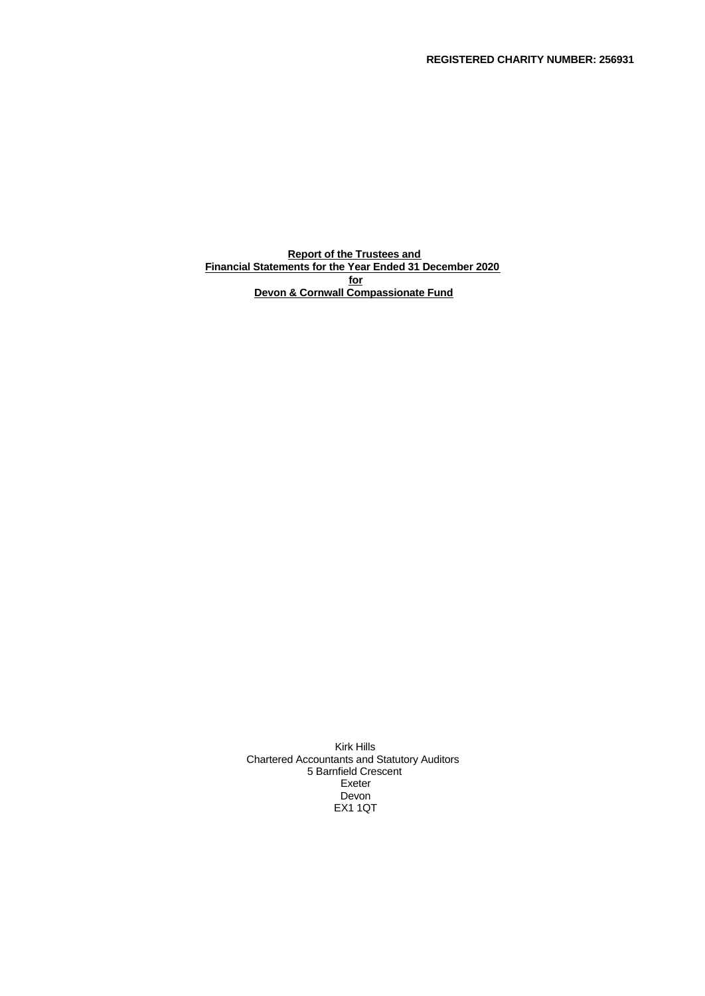**Report of the Trustees and Financial Statements for the Year Ended 31 December 2020 for Devon & Cornwall Compassionate Fund**

> Kirk Hills Chartered Accountants and Statutory Auditors 5 Barnfield Crescent Exeter Devon EX1 1QT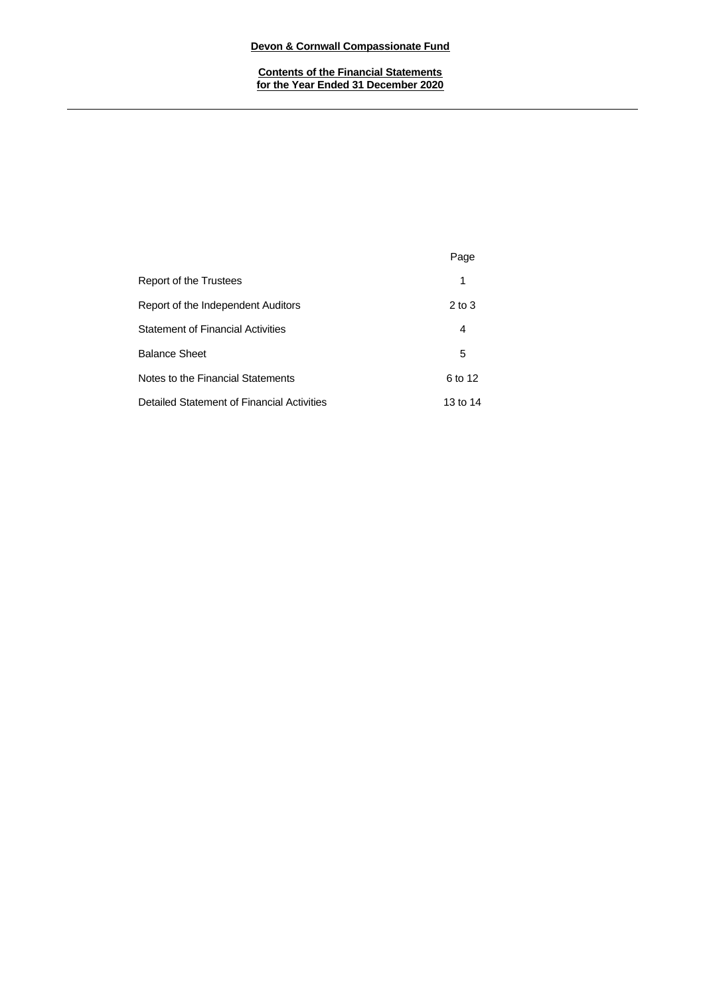**Contents of the Financial Statements for the Year Ended 31 December 2020**

|                                            | Page       |  |
|--------------------------------------------|------------|--|
| Report of the Trustees                     | 1          |  |
| Report of the Independent Auditors         | $2$ to $3$ |  |
| <b>Statement of Financial Activities</b>   | 4          |  |
| <b>Balance Sheet</b>                       | 5          |  |
| Notes to the Financial Statements          | 6 to 12    |  |
| Detailed Statement of Financial Activities | 13 to 14   |  |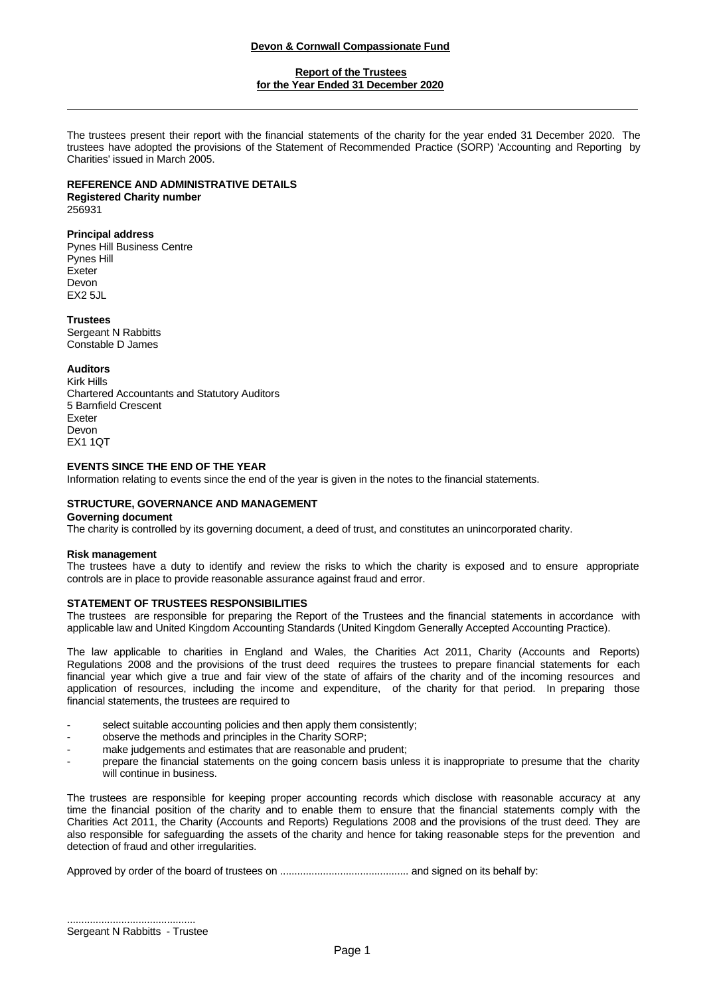# **Report of the Trustees for the Year Ended 31 December 2020**

The trustees present their report with the financial statements of the charity for the year ended 31 December 2020. The trustees have adopted the provisions of the Statement of Recommended Practice (SORP) 'Accounting and Reporting by Charities' issued in March 2005.

# **REFERENCE AND ADMINISTRATIVE DETAILS**

**Registered Charity number** 256931

# **Principal address**

Pynes Hill Business Centre Pynes Hill Exeter Devon EX2 5JL

### **Trustees**

Sergeant N Rabbitts Constable D James

# **Auditors**

Kirk Hills Chartered Accountants and Statutory Auditors 5 Barnfield Crescent Exeter Devon EX1 1QT

# **EVENTS SINCE THE END OF THE YEAR**

Information relating to events since the end of the year is given in the notes to the financial statements.

# **STRUCTURE, GOVERNANCE AND MANAGEMENT**

### **Governing document**

The charity is controlled by its governing document, a deed of trust, and constitutes an unincorporated charity.

### **Risk management**

The trustees have a duty to identify and review the risks to which the charity is exposed and to ensure appropriate controls are in place to provide reasonable assurance against fraud and error.

# **STATEMENT OF TRUSTEES RESPONSIBILITIES**

The trustees are responsible for preparing the Report of the Trustees and the financial statements in accordance with applicable law and United Kingdom Accounting Standards (United Kingdom Generally Accepted Accounting Practice).

The law applicable to charities in England and Wales, the Charities Act 2011, Charity (Accounts and Reports) Regulations 2008 and the provisions of the trust deed requires the trustees to prepare financial statements for each financial year which give a true and fair view of the state of affairs of the charity and of the incoming resources and application of resources, including the income and expenditure, of the charity for that period. In preparing those financial statements, the trustees are required to

- select suitable accounting policies and then apply them consistently;
- observe the methods and principles in the Charity SORP;
- make judgements and estimates that are reasonable and prudent;
- prepare the financial statements on the going concern basis unless it is inappropriate to presume that the charity will continue in business.

The trustees are responsible for keeping proper accounting records which disclose with reasonable accuracy at any time the financial position of the charity and to enable them to ensure that the financial statements comply with the Charities Act 2011, the Charity (Accounts and Reports) Regulations 2008 and the provisions of the trust deed. They are also responsible for safeguarding the assets of the charity and hence for taking reasonable steps forthe prevention and detection of fraud and other irregularities.

Approved by order of the board of trustees on ............................................. and signed on its behalf by: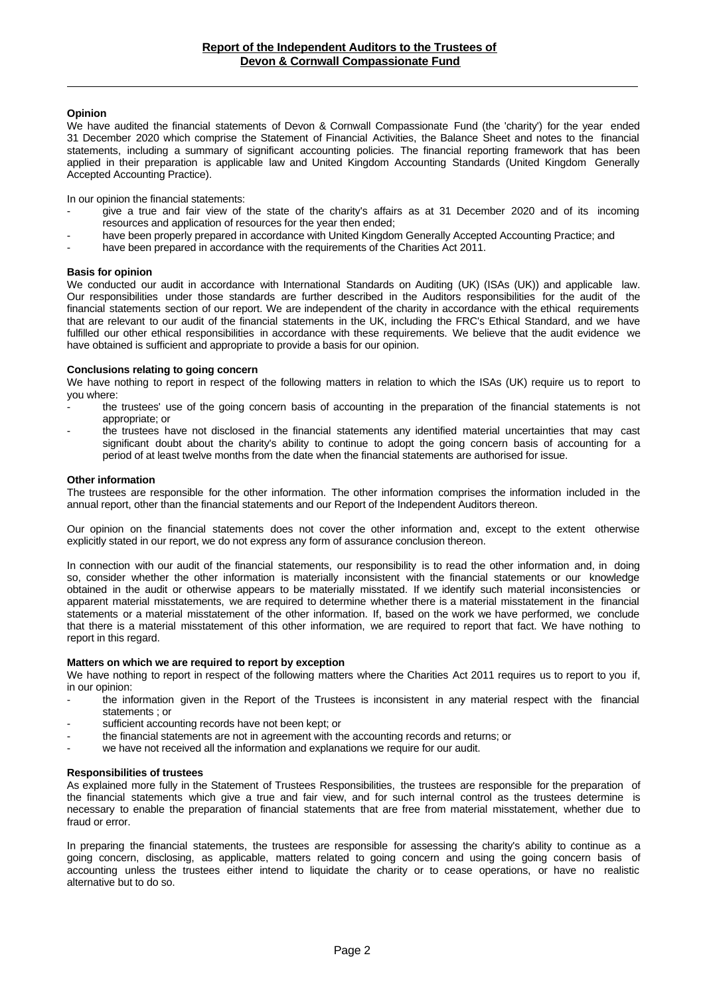# **Opinion**

We have audited the financial statements of Devon & Cornwall Compassionate Fund (the 'charity') for the year ended 31 December 2020 which comprise the Statement of Financial Activities, the Balance Sheet and notes to the financial statements, including a summary of significant accounting policies. The financial reporting framework that has been applied in their preparation is applicable law and United Kingdom Accounting Standards (United Kingdom Generally Accepted Accounting Practice).

In our opinion the financial statements:

- give a true and fair view of the state of the charity's affairs as at 31 December 2020 and of its incoming resources and application of resources for the year then ended;
- have been properly prepared in accordance with United Kingdom Generally Accepted Accounting Practice; and
- have been prepared in accordance with the requirements of the Charities Act 2011.

### **Basis for opinion**

We conducted our audit in accordance with International Standards on Auditing (UK) (ISAs (UK)) and applicable law. Our responsibilities under those standards are further described in the Auditors responsibilities for the audit of the financial statements section of our report. We are independent of the charity in accordance with the ethical requirements that are relevant to our audit of the financial statements in the UK, including the FRC's Ethical Standard, and we have fulfilled our other ethical responsibilities in accordance with these requirements. We believe that the audit evidence we have obtained is sufficient and appropriate to provide a basis for our opinion.

### **Conclusions relating to going concern**

We have nothing to report in respect of the following matters in relation to which the ISAs (UK) require us to report to you where:

- the trustees' use of the going concern basis of accounting in the preparation of the financial statements is not appropriate; or
- the trustees have not disclosed in the financial statements any identified material uncertainties that may cast significant doubt about the charity's ability to continue to adopt the going concern basis of accounting for a period of at least twelve months from the date when the financial statements are authorised for issue.

### **Other information**

The trustees are responsible for the other information. The other information comprises the information included in the annual report, other than the financial statements and our Report of the Independent Auditors thereon.

Our opinion on the financial statements does not cover the other information and, except to the extent otherwise explicitly stated in our report, we do not express any form of assurance conclusion thereon.

In connection with our audit of the financial statements, our responsibility is to read the other information and, in doing so, consider whether the other information is materially inconsistent with the financial statements or our knowledge obtained in the audit or otherwise appears to be materially misstated. If we identify such material inconsistencies or apparent material misstatements, we are required to determine whether there is a material misstatement in the financial statements or a material misstatement of the other information. If, based on the work we have performed, we conclude that there is a material misstatement of this other information, we are required to report that fact. We have nothing to report in this regard.

### **Matters on which we are required to report by exception**

We have nothing to report in respect of the following matters where the Charities Act 2011 requires us to report to you if, in our opinion:

- the information given in the Report of the Trustees is inconsistent in any material respect with the financial statements ; or
- sufficient accounting records have not been kept; or
- the financial statements are not in agreement with the accounting records and returns; or
- we have not received all the information and explanations we require for our audit.

### **Responsibilities of trustees**

As explained more fully in the Statement of Trustees Responsibilities, the trustees are responsible for the preparation of the financial statements which give a true and fair view, and for such internal control as the trustees determine is necessary to enable the preparation of financial statements that are free from material misstatement, whether due to fraud or error.

In preparing the financial statements, the trustees are responsible for assessing the charity's ability to continue as a going concern, disclosing, as applicable, matters related to going concern and using the going concern basis of accounting unless the trustees either intend to liquidate the charity or to cease operations, or have no realistic alternative but to do so.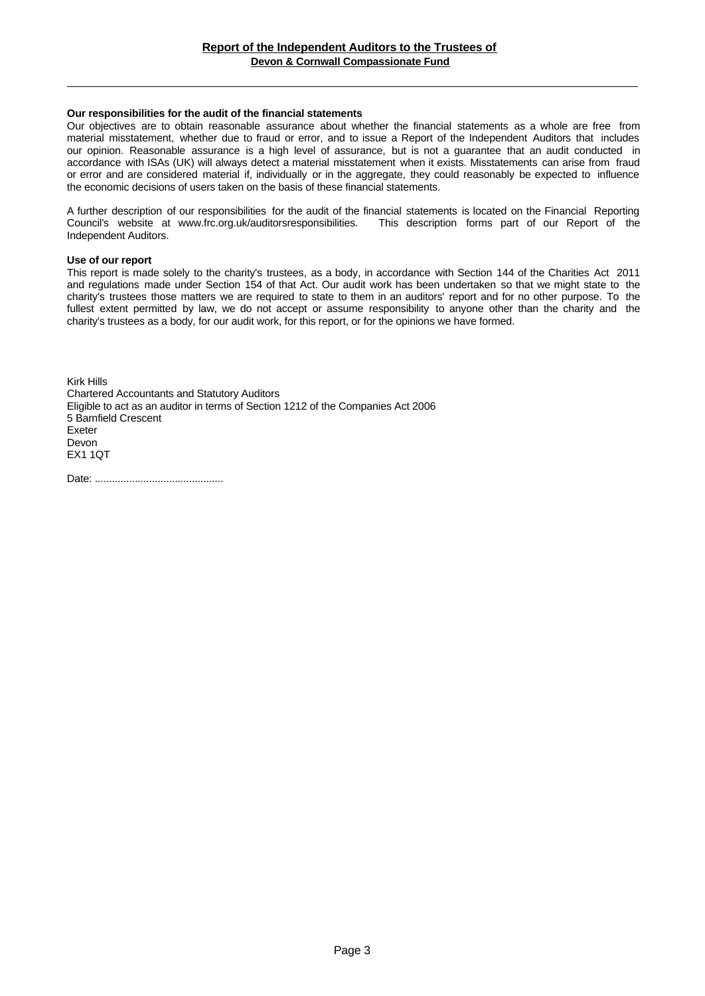# **Our responsibilities for the audit of the financial statements**

Our objectives are to obtain reasonable assurance about whether the financial statements as a whole are free from material misstatement, whether due to fraud or error, and to issue a Report of the Independent Auditors that includes our opinion. Reasonable assurance is a high level of assurance, but is not a guarantee that an audit conducted in accordance with ISAs (UK) will always detect a material misstatement when it exists. Misstatements can arise from fraud or error and are considered material if, individually or in the aggregate, they could reasonably be expected to influence the economic decisions of users taken on the basis of these financial statements.

A further description of our responsibilities for the audit of the financial statements is located on the Financial Reporting Council's website at www.frc.org.uk/auditorsresponsibilities. This description forms part of our Report of the Independent Auditors.

### **Use of our report**

This report is made solely to the charity's trustees, as a body, in accordance with Section 144 of the Charities Act 2011 and regulations made under Section 154 of that Act. Our audit work has been undertaken so that we might state to the charity's trustees those matters we are required to state to them in an auditors' report and for no other purpose. To the fullest extent permitted by law, we do not accept or assume responsibility to anyone other than the charity and the charity's trustees as a body, for our audit work, for this report, or for the opinions we have formed.

Kirk Hills Chartered Accountants and Statutory Auditors Eligible to act as an auditor in terms of Section 1212 of the Companies Act 2006 5 Barnfield Crescent Exeter Devon EX1 1QT

Date: .............................................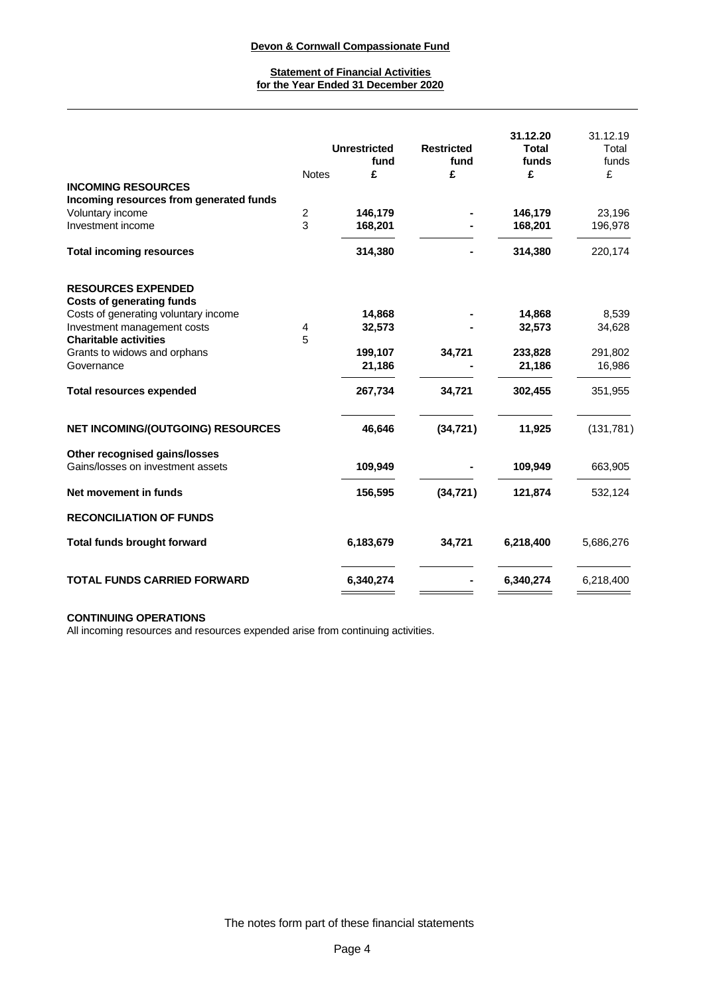# **Statement of Financial Activities for the Year Ended 31 December 2020**

|                                         |                |                     |                   | 31.12.20     | 31.12.19   |
|-----------------------------------------|----------------|---------------------|-------------------|--------------|------------|
|                                         |                | <b>Unrestricted</b> | <b>Restricted</b> | <b>Total</b> | Total      |
|                                         |                | fund                | fund              | funds        | funds      |
|                                         | <b>Notes</b>   | £                   | £                 | £            | £          |
| <b>INCOMING RESOURCES</b>               |                |                     |                   |              |            |
| Incoming resources from generated funds |                |                     |                   |              |            |
| Voluntary income                        | $\overline{c}$ | 146,179             |                   | 146,179      | 23,196     |
| Investment income                       | 3              | 168,201             |                   | 168,201      | 196,978    |
| <b>Total incoming resources</b>         |                | 314,380             |                   | 314,380      | 220,174    |
| <b>RESOURCES EXPENDED</b>               |                |                     |                   |              |            |
| <b>Costs of generating funds</b>        |                |                     |                   |              |            |
| Costs of generating voluntary income    |                | 14,868              |                   | 14,868       | 8,539      |
| Investment management costs             | 4              | 32,573              |                   | 32,573       | 34,628     |
| <b>Charitable activities</b>            | 5              |                     |                   |              |            |
| Grants to widows and orphans            |                | 199,107             | 34,721            | 233,828      | 291,802    |
| Governance                              |                | 21,186              |                   | 21,186       | 16,986     |
| <b>Total resources expended</b>         |                | 267,734             | 34,721            | 302,455      | 351,955    |
| NET INCOMING/(OUTGOING) RESOURCES       |                | 46,646              | (34, 721)         | 11,925       | (131, 781) |
| Other recognised gains/losses           |                |                     |                   |              |            |
| Gains/losses on investment assets       |                | 109,949             |                   | 109,949      | 663,905    |
| Net movement in funds                   |                | 156,595             | (34, 721)         | 121,874      | 532,124    |
| <b>RECONCILIATION OF FUNDS</b>          |                |                     |                   |              |            |
| <b>Total funds brought forward</b>      |                | 6,183,679           | 34,721            | 6,218,400    | 5,686,276  |
|                                         |                |                     |                   |              |            |

# **CONTINUING OPERATIONS**

All incoming resources and resources expended arise from continuing activities.

The notes form part of these financial statements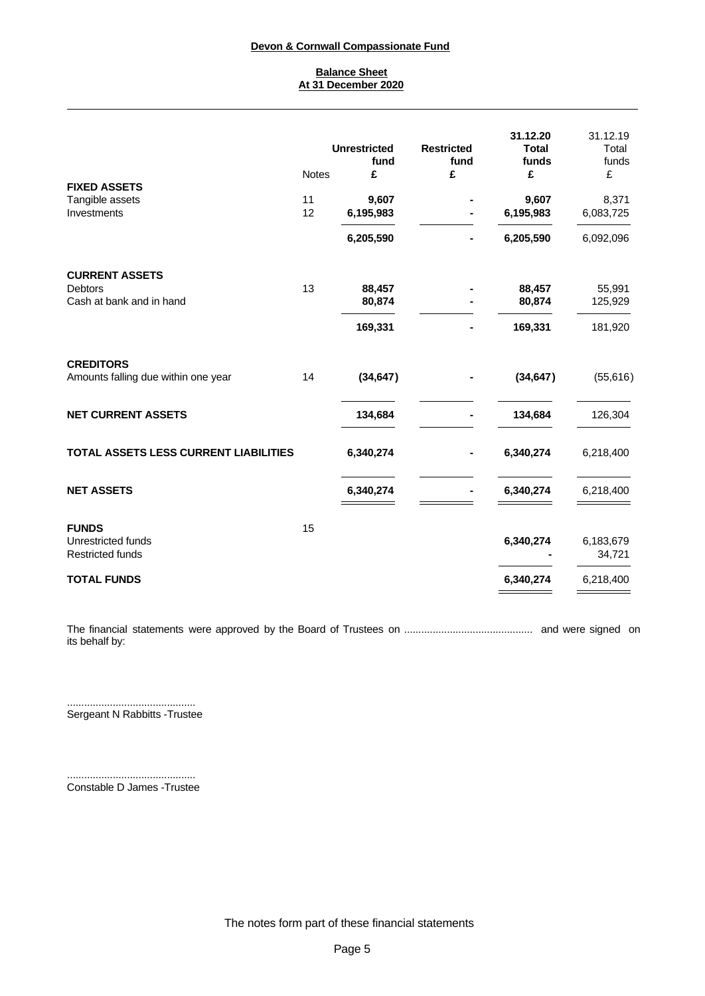# **Balance Sheet At 31 December 2020**

|                                                               | <b>Notes</b> | <b>Unrestricted</b><br>fund<br>£ | <b>Restricted</b><br>fund<br>£ | 31.12.20<br><b>Total</b><br>funds<br>£ | 31.12.19<br>Total<br>funds<br>£ |
|---------------------------------------------------------------|--------------|----------------------------------|--------------------------------|----------------------------------------|---------------------------------|
| <b>FIXED ASSETS</b><br>Tangible assets<br>Investments         | 11<br>12     | 9,607<br>6,195,983               | -<br>-                         | 9,607<br>6,195,983                     | 8,371<br>6,083,725              |
|                                                               |              | 6,205,590                        | ۰                              | 6,205,590                              | 6,092,096                       |
| <b>CURRENT ASSETS</b><br>Debtors<br>Cash at bank and in hand  | 13           | 88,457<br>80,874<br>169,331      | -                              | 88,457<br>80,874<br>169,331            | 55,991<br>125,929<br>181,920    |
| <b>CREDITORS</b><br>Amounts falling due within one year       | 14           | (34, 647)                        |                                | (34, 647)                              | (55,616)                        |
| <b>NET CURRENT ASSETS</b>                                     |              | 134,684                          | -                              | 134,684                                | 126,304                         |
| TOTAL ASSETS LESS CURRENT LIABILITIES                         |              | 6,340,274                        | -                              | 6,340,274                              | 6,218,400                       |
| <b>NET ASSETS</b>                                             |              | 6,340,274                        |                                | 6,340,274                              | 6,218,400                       |
| <b>FUNDS</b><br>Unrestricted funds<br><b>Restricted funds</b> | 15           |                                  |                                | 6,340,274                              | 6,183,679<br>34,721             |
| <b>TOTAL FUNDS</b>                                            |              |                                  |                                | 6,340,274                              | 6,218,400                       |

The financial statements were approved by the Board of Trustees on ............................................. and were signed on its behalf by:

............................................. Sergeant N Rabbitts -Trustee

............................................. Constable D James -Trustee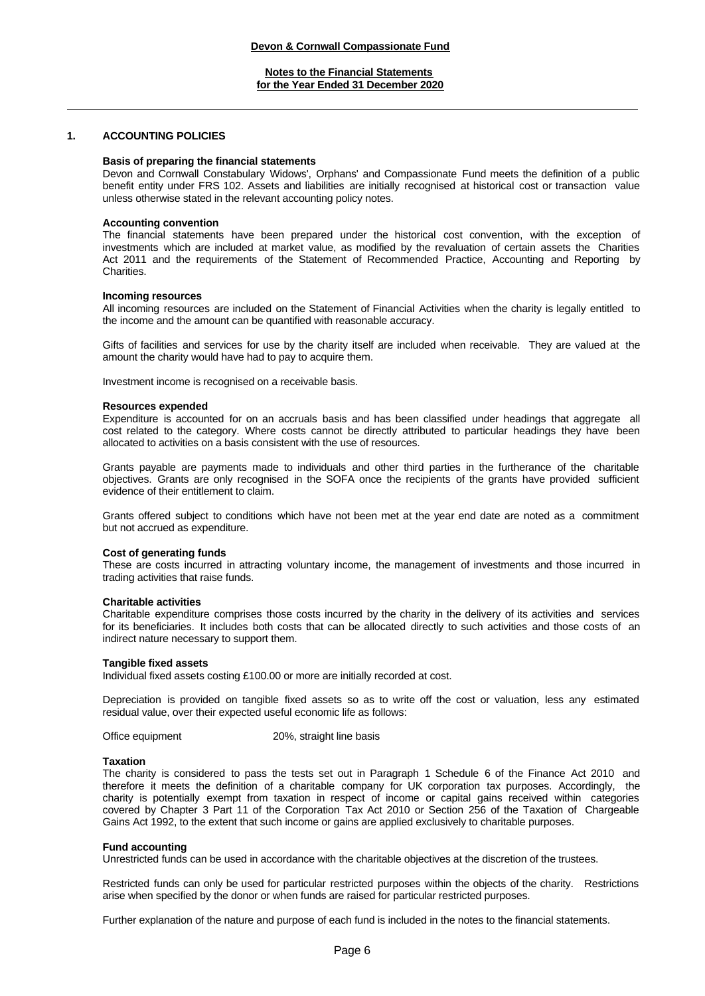#### **1. ACCOUNTING POLICIES**

#### **Basis of preparing the financial statements**

Devon and Cornwall Constabulary Widows', Orphans' and Compassionate Fund meets the definition of a public benefit entity under FRS 102. Assets and liabilities are initially recognised at historical cost or transaction value unless otherwise stated in the relevant accounting policy notes.

### **Accounting convention**

The financial statements have been prepared under the historical cost convention, with the exception of investments which are included at market value, as modified by the revaluation of certain assets the Charities Act 2011 and the requirements of the Statement of Recommended Practice, Accounting and Reporting by Charities.

#### **Incoming resources**

All incoming resources are included on the Statement of Financial Activities when the charity is legally entitled to the income and the amount can be quantified with reasonable accuracy.

Gifts of facilities and services for use by the charity itself are included when receivable. They are valued at the amount the charity would have had to pay to acquire them.

Investment income is recognised on a receivable basis.

#### **Resources expended**

Expenditure is accounted for on an accruals basis and has been classified under headings that aggregate all cost related to the category. Where costs cannot be directly attributed to particular headings they have been allocated to activities on a basis consistent with the use of resources.

Grants payable are payments made to individuals and other third parties in the furtherance of the charitable objectives. Grants are only recognised in the SOFA once the recipients of the grants have provided sufficient evidence of their entitlement to claim.

Grants offered subject to conditions which have not been met at the year end date are noted as a commitment but not accrued as expenditure.

#### **Cost of generating funds**

These are costs incurred in attracting voluntary income, the management of investments and those incurred in trading activities that raise funds.

#### **Charitable activities**

Charitable expenditure comprises those costs incurred by the charity in the delivery of its activities and services for its beneficiaries. It includes both costs that can be allocated directly to such activities and those costs of an indirect nature necessary to support them.

#### **Tangible fixed assets**

Individual fixed assets costing £100.00 or more are initially recorded at cost.

Depreciation is provided on tangible fixed assets so as to write off the cost or valuation, less any estimated residual value, over their expected useful economic life as follows:

Office equipment 20%, straight line basis

#### **Taxation**

The charity is considered to pass the tests set out in Paragraph 1 Schedule 6 of the Finance Act 2010 and therefore it meets the definition of a charitable company for UK corporation tax purposes. Accordingly, the charity is potentially exempt from taxation in respect of income or capital gains received within categories covered by Chapter 3 Part 11 of the Corporation Tax Act 2010 or Section 256 of the Taxation of Chargeable Gains Act 1992, to the extent that such income or gains are applied exclusively to charitable purposes.

#### **Fund accounting**

Unrestricted funds can be used in accordance with the charitable objectives at the discretion of the trustees.

Restricted funds can only be used for particular restricted purposes within the objects of the charity. Restrictions arise when specified by the donor or when funds are raised for particular restricted purposes.

Further explanation of the nature and purpose of each fund is included in the notes to the financial statements.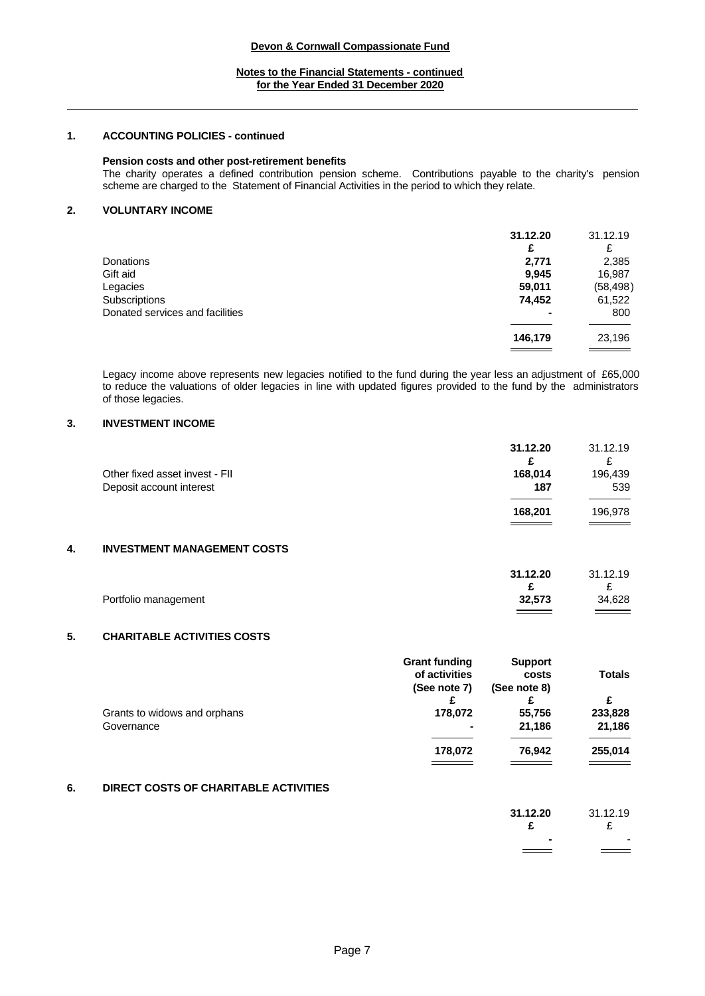### **1. ACCOUNTING POLICIES - continued**

### **Pension costs and other post-retirement benefits**

The charity operates a defined contribution pension scheme. Contributions payable to the charity's pension scheme are charged to the Statement of Financial Activities in the period to which they relate.

# **2. VOLUNTARY INCOME**

|                                 | 31.12.20                                     | 31.12.19  |  |
|---------------------------------|----------------------------------------------|-----------|--|
|                                 | £                                            | £         |  |
| Donations                       | 2,771                                        | 2,385     |  |
| Gift aid                        | 9,945                                        | 16,987    |  |
| Legacies                        | 59,011                                       | (58, 498) |  |
| Subscriptions                   | 74,452                                       | 61,522    |  |
| Donated services and facilities | $\blacksquare$                               | 800       |  |
|                                 | 146,179                                      | 23,196    |  |
|                                 | the control of the control of the control of |           |  |

Legacy income above represents new legacies notified to the fund during the year less an adjustment of £65,000 to reduce the valuations of older legacies in line with updated figures provided to the fund by the administrators of those legacies.

# **3. INVESTMENT INCOME**

|                                | 31.12.20 | 31.12.19 |  |
|--------------------------------|----------|----------|--|
|                                | £        |          |  |
| Other fixed asset invest - FII | 168,014  | 196,439  |  |
| Deposit account interest       | 187      | 539      |  |
|                                |          |          |  |
|                                | 168.201  | 196,978  |  |
|                                |          | $=$      |  |

# **4. INVESTMENT MANAGEMENT COSTS**

|                      | 31.12.20                                        | 31.12.19                        |  |
|----------------------|-------------------------------------------------|---------------------------------|--|
|                      |                                                 | ~                               |  |
| Portfolio management | 32,573                                          | 34,628                          |  |
|                      | the contract of the contract of the contract of | $\overbrace{\qquad \qquad }^{}$ |  |

# **5. CHARITABLE ACTIVITIES COSTS**

|                              | <b>Grant funding</b> | <b>Support</b> |               |
|------------------------------|----------------------|----------------|---------------|
|                              | of activities        | costs          | <b>Totals</b> |
|                              | (See note 7)         | (See note 8)   |               |
|                              |                      | £              | £             |
| Grants to widows and orphans | 178,072              | 55,756         | 233,828       |
| Governance                   | $\blacksquare$       | 21,186         | 21,186        |
|                              |                      |                |               |
|                              | 178,072              | 76,942         | 255,014       |
|                              |                      | ————           |               |
|                              |                      |                |               |

# **6. DIRECT COSTS OF CHARITABLE ACTIVITIES**

| 31.12.20<br>f | 31.12.19<br>£            |  |
|---------------|--------------------------|--|
|               | $\overline{\phantom{a}}$ |  |
| $\sim$ $\sim$ | ___                      |  |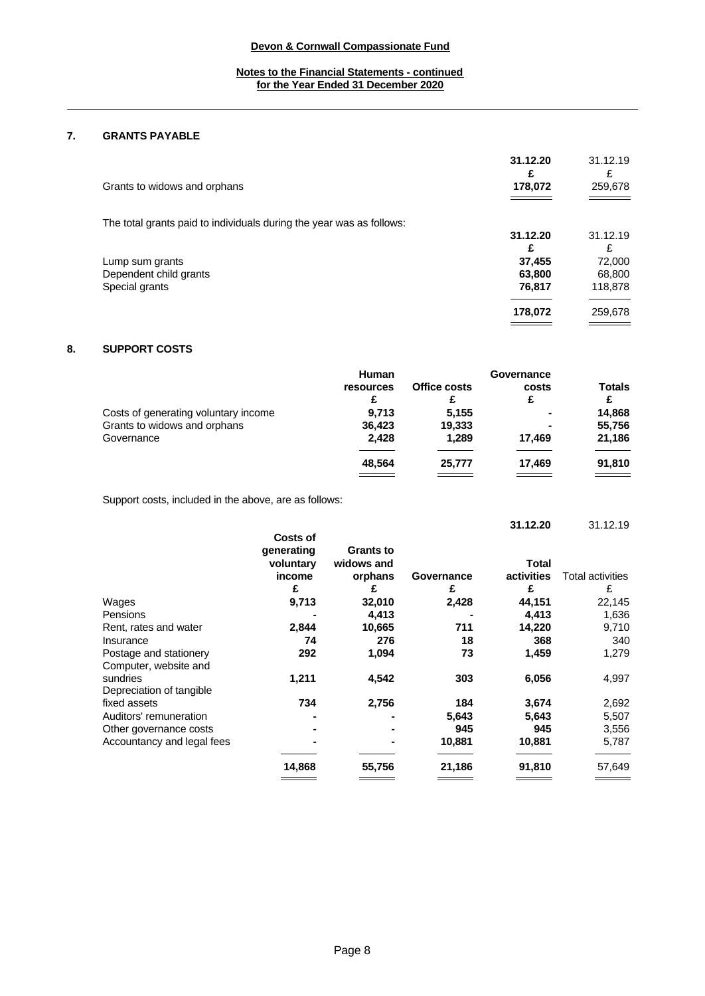# **Notes to the Financial Statements - continued for the Year Ended 31 December 2020**

# **7. GRANTS PAYABLE**

|                                                                      | 31.12.20<br>£ | 31.12.19 |
|----------------------------------------------------------------------|---------------|----------|
| Grants to widows and orphans                                         | 178,072       | 259,678  |
|                                                                      |               |          |
| The total grants paid to individuals during the year was as follows: | 31.12.20      | 31.12.19 |
|                                                                      | £             | £        |
| Lump sum grants                                                      | 37,455        | 72,000   |
| Dependent child grants                                               | 63,800        | 68,800   |
| Special grants                                                       | 76,817        | 118,878  |
|                                                                      | 178,072       | 259,678  |
|                                                                      |               |          |

# **8. SUPPORT COSTS**

|                                      | Human     |              | Governance     |               |  |
|--------------------------------------|-----------|--------------|----------------|---------------|--|
|                                      | resources | Office costs | costs          | <b>Totals</b> |  |
|                                      | £         |              | £              | £             |  |
| Costs of generating voluntary income | 9,713     | 5,155        | $\blacksquare$ | 14.868        |  |
| Grants to widows and orphans         | 36,423    | 19,333       | $\blacksquare$ | 55,756        |  |
| Governance                           | 2,428     | 1,289        | 17.469         | 21,186        |  |
|                                      | 48.564    | 25,777       | 17.469         | 91,810        |  |
|                                      |           | ______       |                |               |  |

Support costs, included in the above, are as follows:

|                 |                                                      |                                                                        | 31.12.20                        | 31.12.19                                              |
|-----------------|------------------------------------------------------|------------------------------------------------------------------------|---------------------------------|-------------------------------------------------------|
| <b>Costs of</b> |                                                      |                                                                        |                                 |                                                       |
| voluntary       | widows and                                           |                                                                        | <b>Total</b>                    |                                                       |
|                 |                                                      |                                                                        |                                 | Total activities<br>£                                 |
|                 |                                                      |                                                                        |                                 |                                                       |
|                 |                                                      |                                                                        |                                 | 22,145                                                |
|                 |                                                      |                                                                        |                                 | 1,636                                                 |
|                 |                                                      |                                                                        |                                 | 9,710                                                 |
| 74              | 276                                                  | 18                                                                     | 368                             | 340                                                   |
| 292             | 1,094                                                | 73                                                                     | 1,459                           | 1,279                                                 |
|                 |                                                      |                                                                        |                                 |                                                       |
|                 |                                                      | 303                                                                    |                                 | 4,997                                                 |
|                 |                                                      |                                                                        |                                 |                                                       |
| 734             | 2,756                                                | 184                                                                    | 3,674                           | 2,692                                                 |
|                 |                                                      | 5,643                                                                  | 5,643                           | 5,507                                                 |
|                 |                                                      | 945                                                                    | 945                             | 3,556                                                 |
|                 |                                                      | 10,881                                                                 | 10,881                          | 5,787                                                 |
| 14,868          | 55,756                                               | 21,186                                                                 | 91,810                          | 57,649                                                |
|                 | generating<br>income<br>£<br>9,713<br>2,844<br>1,211 | <b>Grants to</b><br>orphans<br>£<br>32,010<br>4,413<br>10,665<br>4,542 | Governance<br>£<br>2,428<br>711 | activities<br>£<br>44,151<br>4,413<br>14,220<br>6,056 |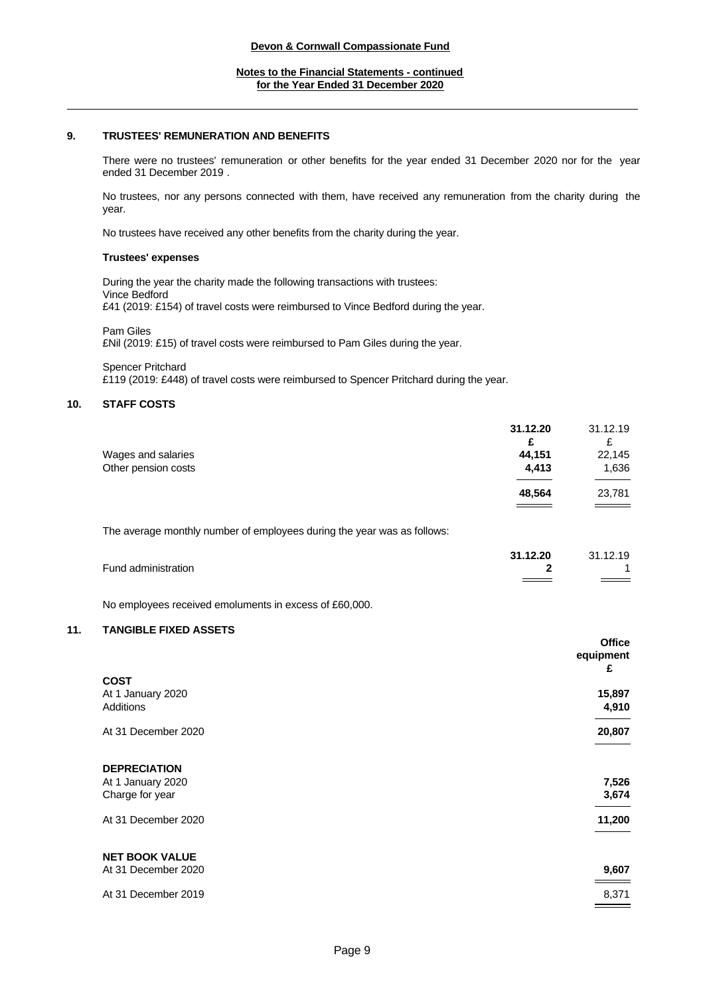# **9. TRUSTEES' REMUNERATION AND BENEFITS**

There were no trustees' remuneration or other benefits for the year ended 31 December 2020 nor for the year ended 31 December 2019 .

No trustees, nor any persons connected with them, have received any remuneration from the charity during the year.

No trustees have received any other benefits from the charity during the year.

#### **Trustees' expenses**

During the year the charity made the following transactions with trustees: Vince Bedford £41 (2019: £154) of travel costs were reimbursed to Vince Bedford during the year.

Pam Giles

£Nil (2019: £15) of travel costs were reimbursed to Pam Giles during the year.

Spencer Pritchard £119 (2019: £448) of travel costs were reimbursed to Spencer Pritchard during the year.

# **10. STAFF COSTS**

|                     | 31.12.20      | 31.12.19                                                                                                                                                                                                                                                                                                                                                                                                                                       |
|---------------------|---------------|------------------------------------------------------------------------------------------------------------------------------------------------------------------------------------------------------------------------------------------------------------------------------------------------------------------------------------------------------------------------------------------------------------------------------------------------|
|                     | £             |                                                                                                                                                                                                                                                                                                                                                                                                                                                |
| Wages and salaries  | 44,151        | 22,145                                                                                                                                                                                                                                                                                                                                                                                                                                         |
| Other pension costs | 4,413         | 1,636                                                                                                                                                                                                                                                                                                                                                                                                                                          |
|                     | 48,564        | 23,781                                                                                                                                                                                                                                                                                                                                                                                                                                         |
|                     | $\frac{1}{2}$ | $\frac{1}{\sqrt{1-\frac{1}{2}}\left(1-\frac{1}{2}\right)}\left(\frac{1}{2}-\frac{1}{2}\right)}\frac{1}{\sqrt{1-\frac{1}{2}}\left(1-\frac{1}{2}\right)}\left(\frac{1}{2}-\frac{1}{2}\right)}\frac{1}{\sqrt{1-\frac{1}{2}}\left(1-\frac{1}{2}\right)}\frac{1}{\sqrt{1-\frac{1}{2}}\left(1-\frac{1}{2}\right)}\frac{1}{\sqrt{1-\frac{1}{2}}\left(1-\frac{1}{2}\right)}\frac{1}{\sqrt{1-\frac{1}{2}}\left(1-\frac{1}{2}\right)}\frac{1}{\sqrt{1-\$ |

The average monthly number of employees during the year was as follows:

| Fund administration | 31.12.20<br>- | .12.19<br>31                      |  |
|---------------------|---------------|-----------------------------------|--|
|                     |               | and the control of the control of |  |

No employees received emoluments in excess of £60,000.

# **11. TANGIBLE FIXED ASSETS**

|                       | <b>Office</b>          |
|-----------------------|------------------------|
|                       | equipment              |
|                       | £                      |
| <b>COST</b>           |                        |
| At 1 January 2020     | 15,897                 |
| Additions             | 4,910                  |
| At 31 December 2020   | 20,807                 |
|                       |                        |
|                       |                        |
| <b>DEPRECIATION</b>   |                        |
| At 1 January 2020     | 7,526                  |
| Charge for year       | 3,674                  |
| At 31 December 2020   | 11,200                 |
|                       |                        |
|                       |                        |
| <b>NET BOOK VALUE</b> |                        |
| At 31 December 2020   | 9,607<br>$\sim$ $\sim$ |
| At 31 December 2019   | 8,371                  |
|                       |                        |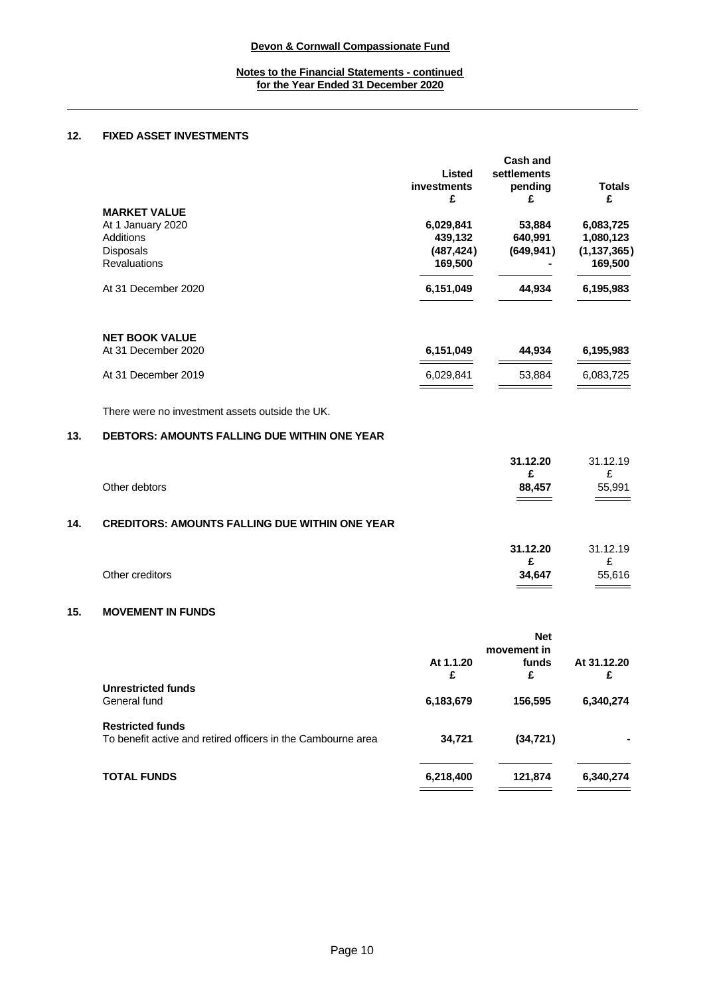# **Notes to the Financial Statements - continued for the Year Ended 31 December 2020**

# **12. FIXED ASSET INVESTMENTS**

| <b>Totals</b><br>£ |
|--------------------|
|                    |
|                    |
|                    |
|                    |
| 6,083,725          |
| 1,080,123          |
| (1, 137, 365)      |
| 169,500            |
| 6,195,983          |
|                    |
| 6,195,983          |
| 6,083,725          |
|                    |
|                    |
|                    |
| 31.12.19           |
| £                  |
| 55,991             |
|                    |
|                    |
|                    |
| 31.12.19           |
| £                  |
| 55,616             |
|                    |

# **15. MOVEMENT IN FUNDS**

|                                                                                         |                | <b>Net</b><br>movement in |                  |
|-----------------------------------------------------------------------------------------|----------------|---------------------------|------------------|
|                                                                                         | At 1.1.20<br>£ | funds<br>£                | At 31.12.20<br>£ |
| Unrestricted funds<br>General fund                                                      | 6,183,679      | 156,595                   | 6,340,274        |
| <b>Restricted funds</b><br>To benefit active and retired officers in the Cambourne area | 34,721         | (34, 721)                 | $\blacksquare$   |
| <b>TOTAL FUNDS</b>                                                                      | 6,218,400      | 121,874                   | 6,340,274        |
|                                                                                         |                |                           |                  |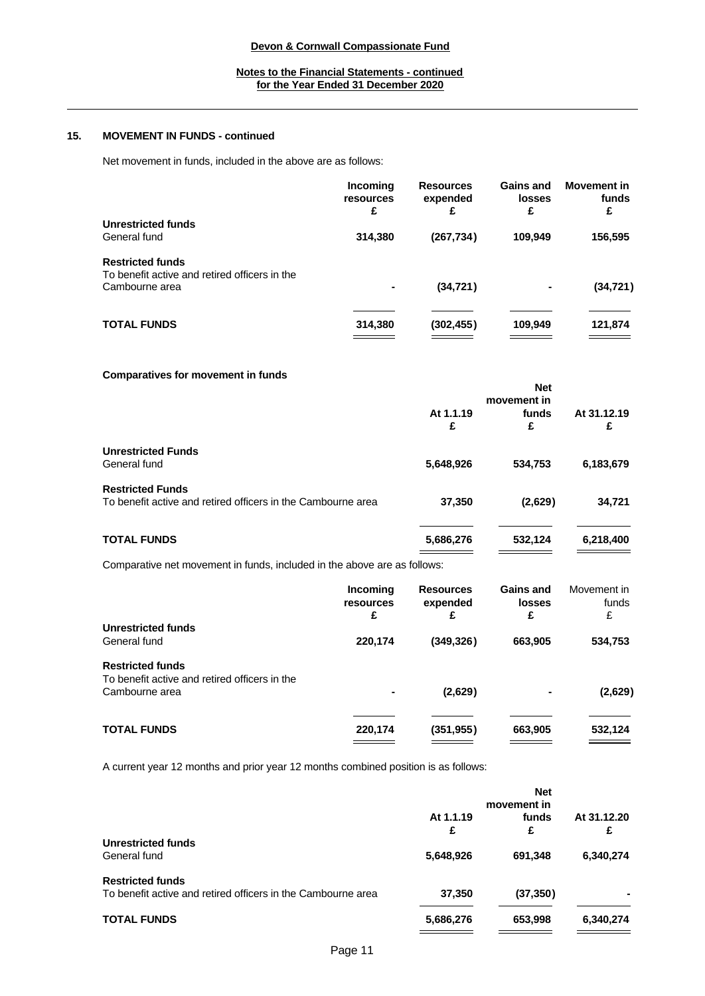# **15. MOVEMENT IN FUNDS - continued**

Net movement in funds, included in the above are as follows:

|                                                                          | <b>Incoming</b><br>resources<br>£ | <b>Resources</b><br>expended<br>£ | <b>Gains and</b><br><b>losses</b><br>£ | Movement in<br>funds<br>£ |  |
|--------------------------------------------------------------------------|-----------------------------------|-----------------------------------|----------------------------------------|---------------------------|--|
| Unrestricted funds                                                       |                                   |                                   |                                        |                           |  |
| General fund                                                             | 314,380                           | (267, 734)                        | 109,949                                | 156,595                   |  |
| <b>Restricted funds</b><br>To benefit active and retired officers in the |                                   |                                   |                                        |                           |  |
| Cambourne area                                                           | $\blacksquare$                    | (34, 721)                         | $\blacksquare$                         | (34, 721)                 |  |
|                                                                          |                                   |                                   |                                        |                           |  |
| <b>TOTAL FUNDS</b>                                                       | 314,380                           | (302, 455)                        | 109,949                                | 121,874                   |  |
|                                                                          |                                   |                                   |                                        |                           |  |

### **Comparatives for movement in funds**

|                                                              |           | <b>Net</b>  |             |  |
|--------------------------------------------------------------|-----------|-------------|-------------|--|
|                                                              |           | movement in |             |  |
|                                                              | At 1.1.19 | funds       | At 31.12.19 |  |
|                                                              | £         | £           | £           |  |
| <b>Unrestricted Funds</b>                                    |           |             |             |  |
| General fund                                                 | 5,648,926 | 534,753     | 6,183,679   |  |
| <b>Restricted Funds</b>                                      |           |             |             |  |
| To benefit active and retired officers in the Cambourne area | 37,350    | (2,629)     | 34,721      |  |
| <b>TOTAL FUNDS</b>                                           | 5,686,276 | 532,124     | 6,218,400   |  |
|                                                              |           |             |             |  |

Comparative net movement in funds, included in the above are as follows:

|                                                                          | <b>Incoming</b><br>resources<br>£ | <b>Resources</b><br>expended | <b>Gains and</b><br><b>losses</b><br>£ | Movement in<br>funds<br>£ |  |
|--------------------------------------------------------------------------|-----------------------------------|------------------------------|----------------------------------------|---------------------------|--|
| Unrestricted funds                                                       |                                   |                              |                                        |                           |  |
| General fund                                                             | 220,174                           | (349, 326)                   | 663,905                                | 534,753                   |  |
| <b>Restricted funds</b><br>To benefit active and retired officers in the |                                   |                              |                                        |                           |  |
| Cambourne area                                                           | ٠                                 | (2,629)                      | $\blacksquare$                         | (2,629)                   |  |
|                                                                          |                                   |                              |                                        |                           |  |
| <b>TOTAL FUNDS</b>                                                       | 220,174                           | (351, 955)                   | 663,905                                | 532,124                   |  |
|                                                                          |                                   |                              |                                        |                           |  |

A current year 12 months and prior year 12 months combined position is as follows:

|           | <b>Net</b> |                |  |
|-----------|------------|----------------|--|
|           |            |                |  |
| At 1.1.19 | funds      | At 31.12.20    |  |
| £         | £          | £              |  |
|           |            |                |  |
| 5,648,926 | 691,348    | 6,340,274      |  |
|           |            |                |  |
| 37,350    | (37, 350)  | $\blacksquare$ |  |
| 5,686,276 | 653,998    | 6,340,274      |  |
|           |            | movement in    |  |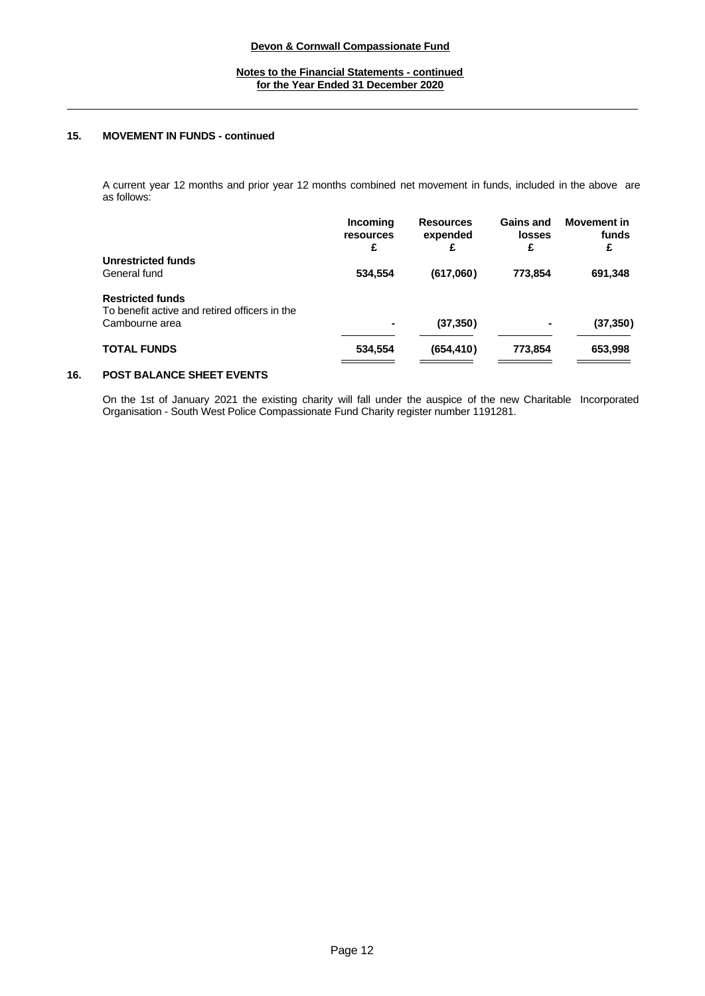# **15. MOVEMENT IN FUNDS - continued**

A current year 12 months and prior year 12 months combined net movement in funds, included in the above are as follows:

|                                               | <b>Incoming</b><br>resources<br>£ | <b>Resources</b><br>expended<br>£ | <b>Gains and</b><br><b>losses</b><br>£ | Movement in<br>funds<br>£ |
|-----------------------------------------------|-----------------------------------|-----------------------------------|----------------------------------------|---------------------------|
| Unrestricted funds                            |                                   |                                   |                                        |                           |
| General fund                                  | 534,554                           | (617,060)                         | 773,854                                | 691,348                   |
| <b>Restricted funds</b>                       |                                   |                                   |                                        |                           |
| To benefit active and retired officers in the |                                   |                                   |                                        |                           |
| Cambourne area                                | $\overline{\phantom{0}}$          | (37, 350)                         | $\blacksquare$                         | (37, 350)                 |
| <b>TOTAL FUNDS</b>                            | 534,554                           | (654, 410)                        | 773,854                                | 653,998                   |
|                                               |                                   |                                   |                                        |                           |

# **16. POST BALANCE SHEET EVENTS**

On the 1st of January 2021 the existing charity will fall under the auspice of the new Charitable Incorporated Organisation - South West Police Compassionate Fund Charity register number 1191281.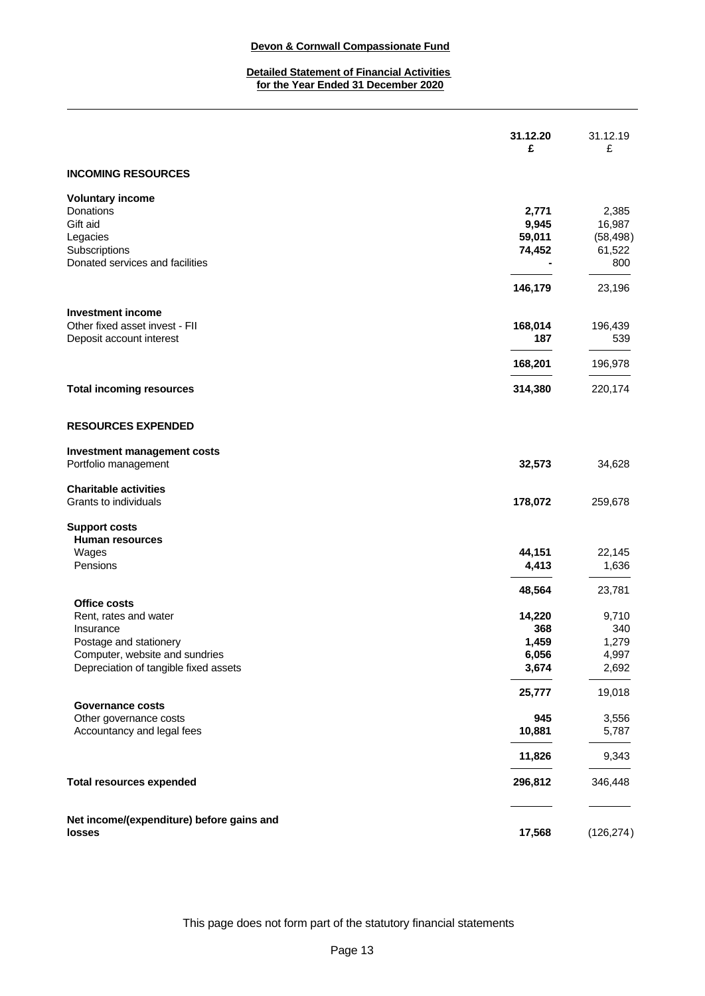# **Detailed Statement of Financial Activities for the Year Ended 31 December 2020**

|                                           | 31.12.20<br>£ | 31.12.19<br>£ |  |
|-------------------------------------------|---------------|---------------|--|
| <b>INCOMING RESOURCES</b>                 |               |               |  |
| <b>Voluntary income</b>                   |               |               |  |
| Donations                                 | 2,771         | 2,385         |  |
| Gift aid                                  | 9,945         | 16,987        |  |
| Legacies                                  | 59,011        | (58, 498)     |  |
| Subscriptions                             | 74,452        | 61,522        |  |
| Donated services and facilities           |               | 800           |  |
|                                           |               |               |  |
|                                           | 146,179       | 23,196        |  |
| <b>Investment income</b>                  |               |               |  |
| Other fixed asset invest - FII            | 168,014       | 196,439       |  |
| Deposit account interest                  | 187           | 539           |  |
|                                           | 168,201       | 196,978       |  |
| <b>Total incoming resources</b>           | 314,380       | 220,174       |  |
|                                           |               |               |  |
| <b>RESOURCES EXPENDED</b>                 |               |               |  |
| Investment management costs               |               |               |  |
| Portfolio management                      | 32,573        | 34,628        |  |
| <b>Charitable activities</b>              |               |               |  |
| Grants to individuals                     | 178,072       | 259,678       |  |
| <b>Support costs</b>                      |               |               |  |
| <b>Human resources</b>                    |               |               |  |
| Wages                                     | 44,151        | 22,145        |  |
| Pensions                                  | 4,413         | 1,636         |  |
|                                           | 48,564        | 23,781        |  |
| Office costs<br>Rent, rates and water     | 14,220        | 9,710         |  |
| Insurance                                 | 368           | 340           |  |
| Postage and stationery                    | 1,459         | 1,279         |  |
| Computer, website and sundries            | 6,056         | 4,997         |  |
| Depreciation of tangible fixed assets     | 3,674         | 2,692         |  |
|                                           | 25,777        | 19,018        |  |
| <b>Governance costs</b>                   |               |               |  |
| Other governance costs                    | 945           | 3,556         |  |
| Accountancy and legal fees                | 10,881        | 5,787         |  |
|                                           | 11,826        | 9,343         |  |
| <b>Total resources expended</b>           | 296,812       | 346,448       |  |
|                                           |               |               |  |
| Net income/(expenditure) before gains and |               |               |  |
| losses                                    | 17,568        | (126, 274)    |  |
|                                           |               |               |  |